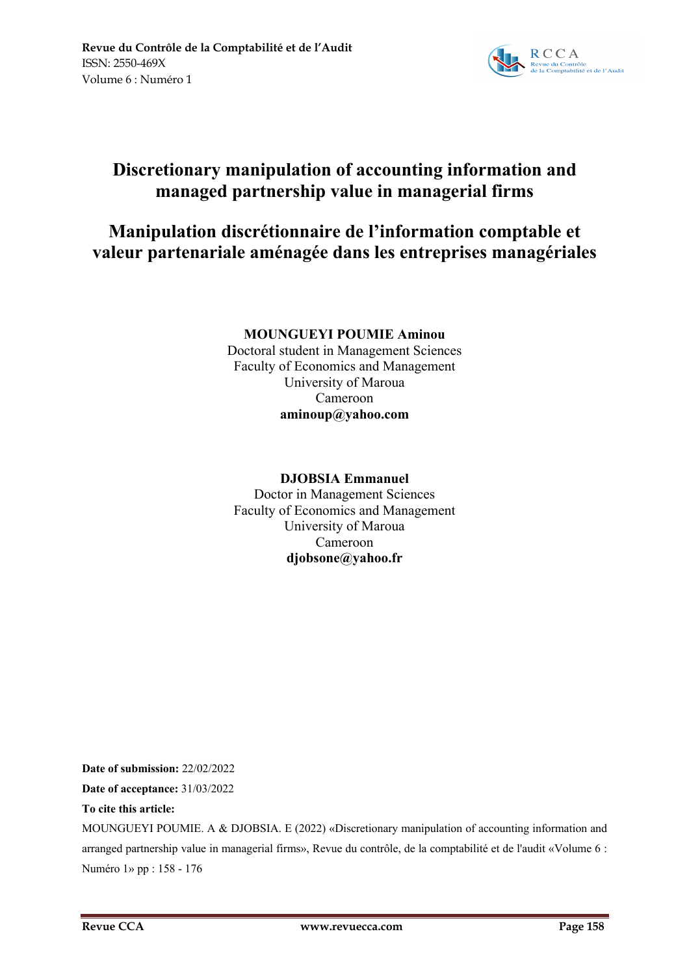

# **Discretionary manipulation of accounting information and managed partnership value in managerial firms**

# **Manipulation discrétionnaire de l'information comptable et valeur partenariale aménagée dans les entreprises managériales**

# **MOUNGUEYI POUMIE Aminou**

Doctoral student in Management Sciences Faculty of Economics and Management University of Maroua Cameroon **aminoup@yahoo.com**

# **DJOBSIA Emmanuel**

Doctor in Management Sciences Faculty of Economics and Management University of Maroua Cameroon **djobsone@yahoo.fr**

**Date of submission:** 22/02/2022 **Date of acceptance:** 31/03/2022

### **To cite this article:**

MOUNGUEYI POUMIE. A & DJOBSIA. E (2022) «Discretionary manipulation of accounting information and arranged partnership value in managerial firms», Revue du contrôle, de la comptabilité et de l'audit «Volume 6 : Numéro 1» pp : 158 - 176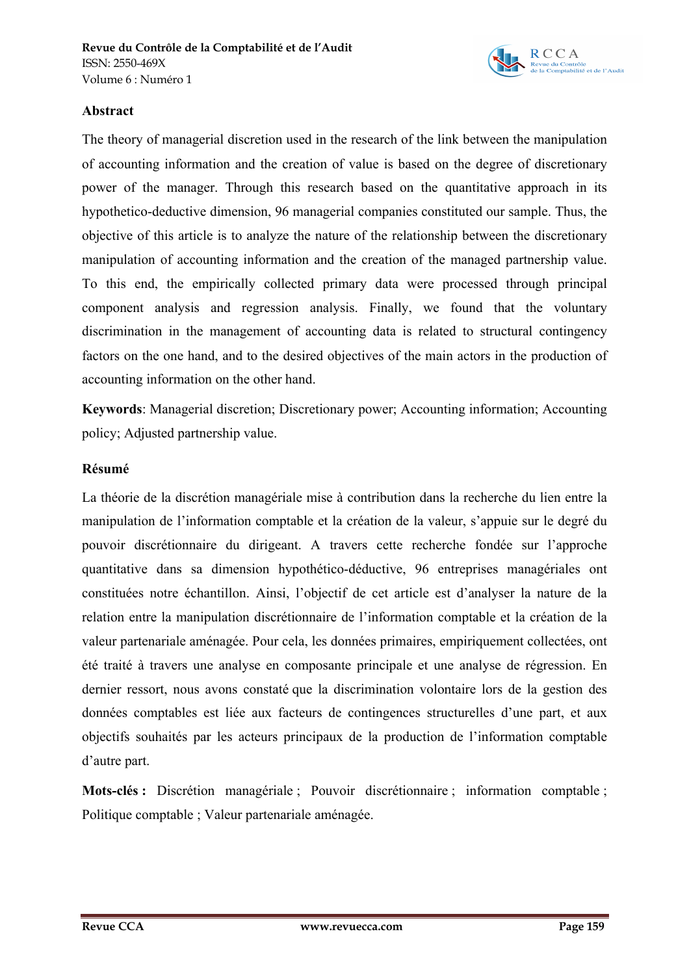

### **Abstract**

The theory of managerial discretion used in the research of the link between the manipulation of accounting information and the creation of value is based on the degree of discretionary power of the manager. Through this research based on the quantitative approach in its hypothetico-deductive dimension, 96 managerial companies constituted our sample. Thus, the objective of this article is to analyze the nature of the relationship between the discretionary manipulation of accounting information and the creation of the managed partnership value. To this end, the empirically collected primary data were processed through principal component analysis and regression analysis. Finally, we found that the voluntary discrimination in the management of accounting data is related to structural contingency factors on the one hand, and to the desired objectives of the main actors in the production of accounting information on the other hand.

**Keywords**: Managerial discretion; Discretionary power; Accounting information; Accounting policy; Adjusted partnership value.

### **Résumé**

La théorie de la discrétion managériale mise à contribution dans la recherche du lien entre la manipulation de l'information comptable et la création de la valeur, s'appuie sur le degré du pouvoir discrétionnaire du dirigeant. A travers cette recherche fondée sur l'approche quantitative dans sa dimension hypothético-déductive, 96 entreprises managériales ont constituées notre échantillon. Ainsi, l'objectif de cet article est d'analyser la nature de la relation entre la manipulation discrétionnaire de l'information comptable et la création de la valeur partenariale aménagée. Pour cela, les données primaires, empiriquement collectées, ont été traité à travers une analyse en composante principale et une analyse de régression. En dernier ressort, nous avons constaté que la discrimination volontaire lors de la gestion des données comptables est liée aux facteurs de contingences structurelles d'une part, et aux objectifs souhaités par les acteurs principaux de la production de l'information comptable d'autre part.

**Mots-clés :** Discrétion managériale ; Pouvoir discrétionnaire ; information comptable ; Politique comptable ; Valeur partenariale aménagée.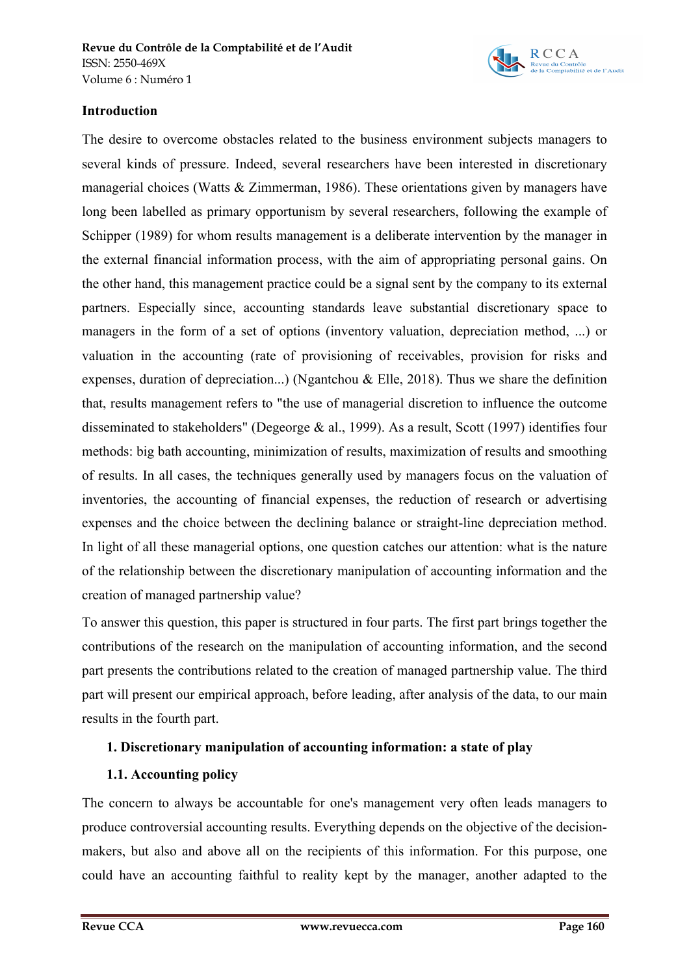

### **Introduction**

The desire to overcome obstacles related to the business environment subjects managers to several kinds of pressure. Indeed, several researchers have been interested in discretionary managerial choices (Watts & Zimmerman, 1986). These orientations given by managers have long been labelled as primary opportunism by several researchers, following the example of Schipper (1989) for whom results management is a deliberate intervention by the manager in the external financial information process, with the aim of appropriating personal gains. On the other hand, this management practice could be a signal sent by the company to its external partners. Especially since, accounting standards leave substantial discretionary space to managers in the form of a set of options (inventory valuation, depreciation method, ...) or valuation in the accounting (rate of provisioning of receivables, provision for risks and expenses, duration of depreciation...) (Ngantchou & Elle, 2018). Thus we share the definition that, results management refers to "the use of managerial discretion to influence the outcome disseminated to stakeholders" (Degeorge & al., 1999). As a result, Scott (1997) identifies four methods: big bath accounting, minimization of results, maximization of results and smoothing of results. In all cases, the techniques generally used by managers focus on the valuation of inventories, the accounting of financial expenses, the reduction of research or advertising expenses and the choice between the declining balance or straight-line depreciation method. In light of all these managerial options, one question catches our attention: what is the nature of the relationship between the discretionary manipulation of accounting information and the creation of managed partnership value?

To answer this question, this paper is structured in four parts. The first part brings together the contributions of the research on the manipulation of accounting information, and the second part presents the contributions related to the creation of managed partnership value. The third part will present our empirical approach, before leading, after analysis of the data, to our main results in the fourth part.

# **1. Discretionary manipulation of accounting information: a state of play**

# **1.1. Accounting policy**

The concern to always be accountable for one's management very often leads managers to produce controversial accounting results. Everything depends on the objective of the decisionmakers, but also and above all on the recipients of this information. For this purpose, one could have an accounting faithful to reality kept by the manager, another adapted to the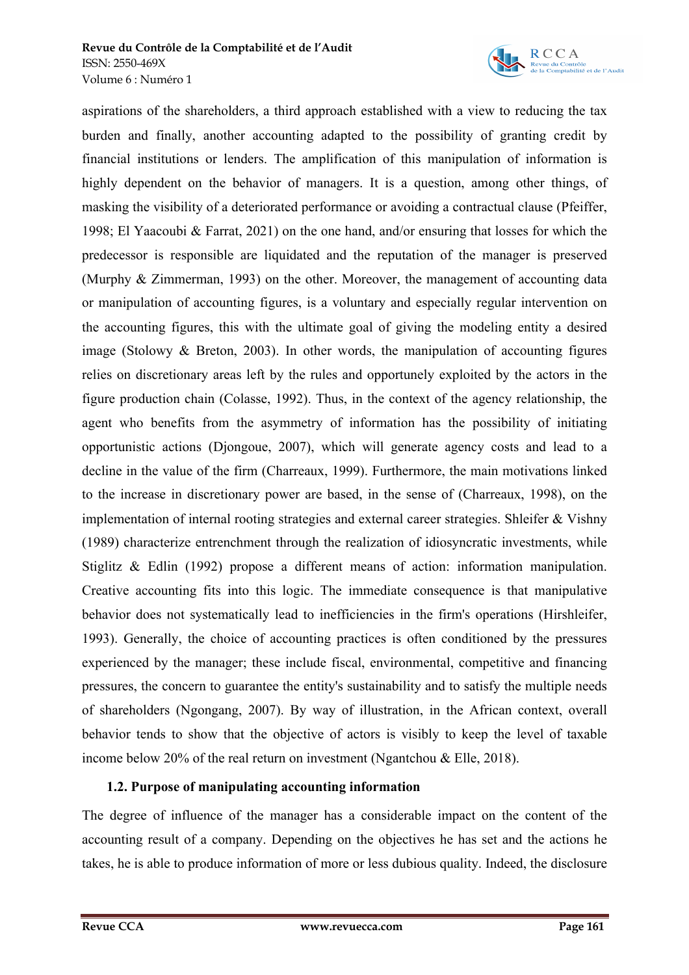

aspirations of the shareholders, a third approach established with a view to reducing the tax burden and finally, another accounting adapted to the possibility of granting credit by financial institutions or lenders. The amplification of this manipulation of information is highly dependent on the behavior of managers. It is a question, among other things, of masking the visibility of a deteriorated performance or avoiding a contractual clause (Pfeiffer, 1998; El Yaacoubi & Farrat, 2021) on the one hand, and/or ensuring that losses for which the predecessor is responsible are liquidated and the reputation of the manager is preserved (Murphy & Zimmerman, 1993) on the other. Moreover, the management of accounting data or manipulation of accounting figures, is a voluntary and especially regular intervention on the accounting figures, this with the ultimate goal of giving the modeling entity a desired image (Stolowy & Breton, 2003). In other words, the manipulation of accounting figures relies on discretionary areas left by the rules and opportunely exploited by the actors in the figure production chain (Colasse, 1992). Thus, in the context of the agency relationship, the agent who benefits from the asymmetry of information has the possibility of initiating opportunistic actions (Djongoue, 2007), which will generate agency costs and lead to a decline in the value of the firm (Charreaux, 1999). Furthermore, the main motivations linked to the increase in discretionary power are based, in the sense of (Charreaux, 1998), on the implementation of internal rooting strategies and external career strategies. Shleifer & Vishny (1989) characterize entrenchment through the realization of idiosyncratic investments, while Stiglitz & Edlin (1992) propose a different means of action: information manipulation. Creative accounting fits into this logic. The immediate consequence is that manipulative behavior does not systematically lead to inefficiencies in the firm's operations (Hirshleifer, 1993). Generally, the choice of accounting practices is often conditioned by the pressures experienced by the manager; these include fiscal, environmental, competitive and financing pressures, the concern to guarantee the entity's sustainability and to satisfy the multiple needs of shareholders (Ngongang, 2007). By way of illustration, in the African context, overall behavior tends to show that the objective of actors is visibly to keep the level of taxable income below 20% of the real return on investment (Ngantchou & Elle, 2018).

# **1.2. Purpose of manipulating accounting information**

The degree of influence of the manager has a considerable impact on the content of the accounting result of a company. Depending on the objectives he has set and the actions he takes, he is able to produce information of more or less dubious quality. Indeed, the disclosure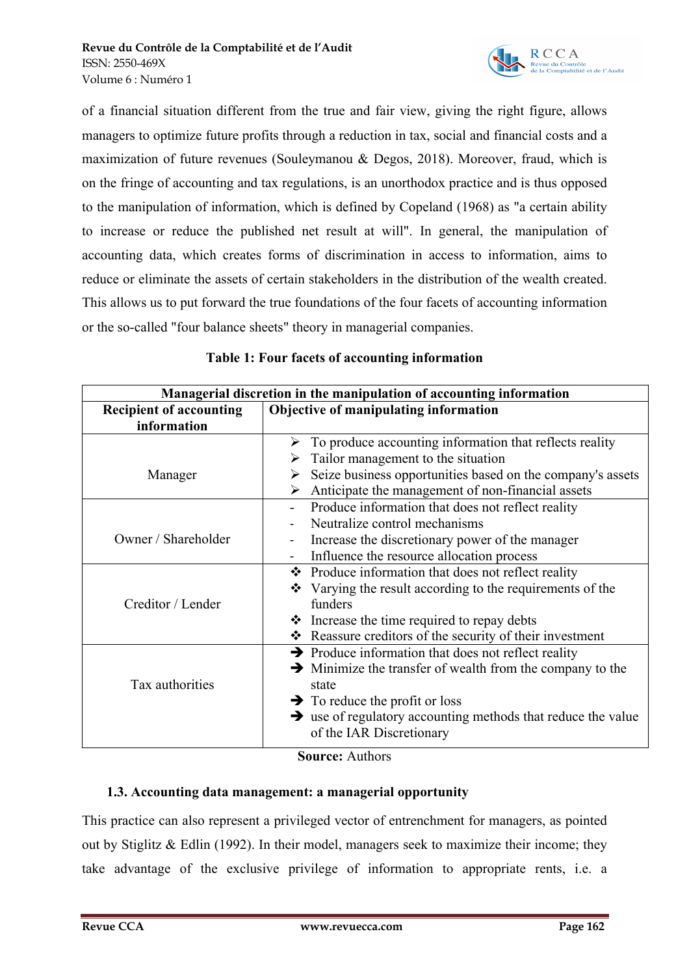

of a financial situation different from the true and fair view, giving the right figure, allows managers to optimize future profits through a reduction in tax, social and financial costs and a maximization of future revenues (Souleymanou & Degos, 2018). Moreover, fraud, which is on the fringe of accounting and tax regulations, is an unorthodox practice and is thus opposed to the manipulation of information, which is defined by Copeland (1968) as "a certain ability to increase or reduce the published net result at will". In general, the manipulation of accounting data, which creates forms of discrimination in access to information, aims to reduce or eliminate the assets of certain stakeholders in the distribution of the wealth created. This allows us to put forward the true foundations of the four facets of accounting information or the so-called "four balance sheets" theory in managerial companies.

| Managerial discretion in the manipulation of accounting information |                                                                                                                                                                                                                                                                                                         |  |  |  |  |
|---------------------------------------------------------------------|---------------------------------------------------------------------------------------------------------------------------------------------------------------------------------------------------------------------------------------------------------------------------------------------------------|--|--|--|--|
| <b>Recipient of accounting</b><br>information                       | Objective of manipulating information                                                                                                                                                                                                                                                                   |  |  |  |  |
| Manager                                                             | $\triangleright$ To produce accounting information that reflects reality<br>Tailor management to the situation<br>➤<br>Seize business opportunities based on the company's assets<br>➤<br>Anticipate the management of non-financial assets<br>⋗                                                        |  |  |  |  |
| Owner / Shareholder                                                 | Produce information that does not reflect reality<br>Neutralize control mechanisms<br>Increase the discretionary power of the manager<br>Influence the resource allocation process<br>$\overline{\phantom{0}}$                                                                                          |  |  |  |  |
| Creditor / Lender                                                   | ❖ Produce information that does not reflect reality<br>Varying the result according to the requirements of the<br>❖<br>funders<br>$\triangle$ Increase the time required to repay debts<br>❖ Reassure creditors of the security of their investment                                                     |  |  |  |  |
| Tax authorities                                                     | $\rightarrow$ Produce information that does not reflect reality<br>$\rightarrow$ Minimize the transfer of wealth from the company to the<br>state<br>$\rightarrow$ To reduce the profit or loss<br>$\rightarrow$ use of regulatory accounting methods that reduce the value<br>of the IAR Discretionary |  |  |  |  |
| $\Omega$ = = = = = = = $\Lambda$ = = 41 = = = =                     |                                                                                                                                                                                                                                                                                                         |  |  |  |  |

### **Table 1: Four facets of accounting information**

**Source:** Authors

# **1.3. Accounting data management: a managerial opportunity**

This practice can also represent a privileged vector of entrenchment for managers, as pointed out by Stiglitz & Edlin (1992). In their model, managers seek to maximize their income; they take advantage of the exclusive privilege of information to appropriate rents, i.e. a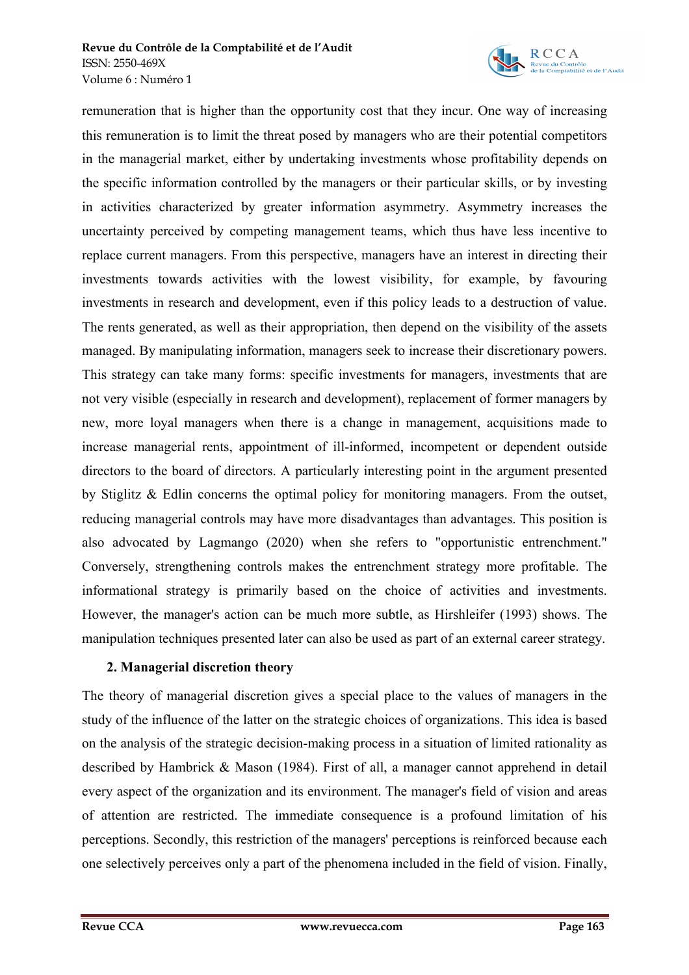

remuneration that is higher than the opportunity cost that they incur. One way of increasing this remuneration is to limit the threat posed by managers who are their potential competitors in the managerial market, either by undertaking investments whose profitability depends on the specific information controlled by the managers or their particular skills, or by investing in activities characterized by greater information asymmetry. Asymmetry increases the uncertainty perceived by competing management teams, which thus have less incentive to replace current managers. From this perspective, managers have an interest in directing their investments towards activities with the lowest visibility, for example, by favouring investments in research and development, even if this policy leads to a destruction of value. The rents generated, as well as their appropriation, then depend on the visibility of the assets managed. By manipulating information, managers seek to increase their discretionary powers. This strategy can take many forms: specific investments for managers, investments that are not very visible (especially in research and development), replacement of former managers by new, more loyal managers when there is a change in management, acquisitions made to increase managerial rents, appointment of ill-informed, incompetent or dependent outside directors to the board of directors. A particularly interesting point in the argument presented by Stiglitz & Edlin concerns the optimal policy for monitoring managers. From the outset, reducing managerial controls may have more disadvantages than advantages. This position is also advocated by Lagmango (2020) when she refers to "opportunistic entrenchment." Conversely, strengthening controls makes the entrenchment strategy more profitable. The informational strategy is primarily based on the choice of activities and investments. However, the manager's action can be much more subtle, as Hirshleifer (1993) shows. The manipulation techniques presented later can also be used as part of an external career strategy.

# **2. Managerial discretion theory**

The theory of managerial discretion gives a special place to the values of managers in the study of the influence of the latter on the strategic choices of organizations. This idea is based on the analysis of the strategic decision-making process in a situation of limited rationality as described by Hambrick & Mason (1984). First of all, a manager cannot apprehend in detail every aspect of the organization and its environment. The manager's field of vision and areas of attention are restricted. The immediate consequence is a profound limitation of his perceptions. Secondly, this restriction of the managers' perceptions is reinforced because each one selectively perceives only a part of the phenomena included in the field of vision. Finally,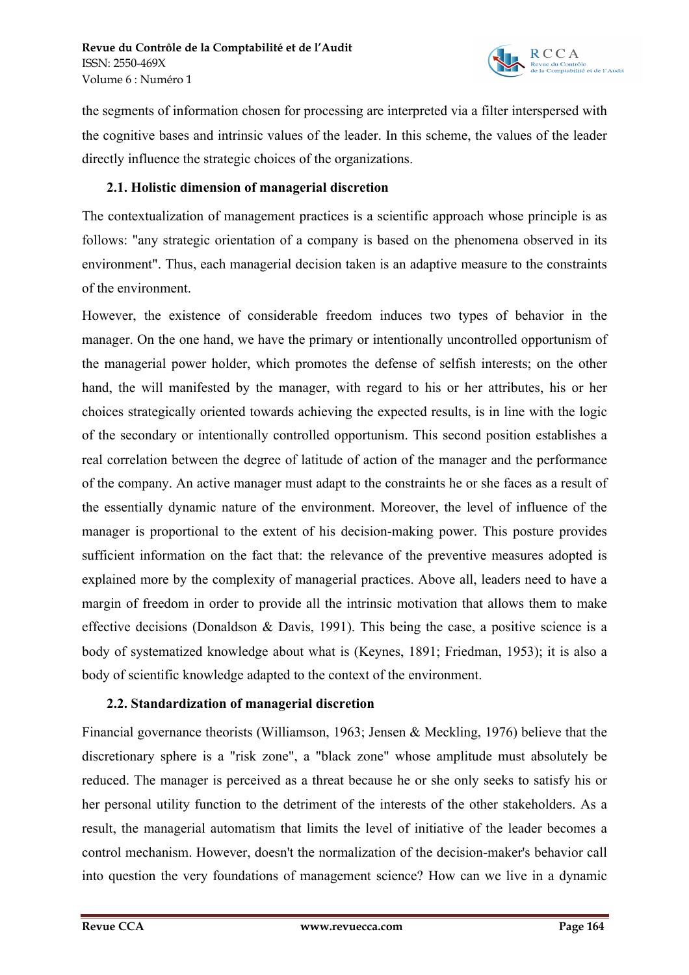

the segments of information chosen for processing are interpreted via a filter interspersed with the cognitive bases and intrinsic values of the leader. In this scheme, the values of the leader directly influence the strategic choices of the organizations.

### **2.1. Holistic dimension of managerial discretion**

The contextualization of management practices is a scientific approach whose principle is as follows: "any strategic orientation of a company is based on the phenomena observed in its environment". Thus, each managerial decision taken is an adaptive measure to the constraints of the environment.

However, the existence of considerable freedom induces two types of behavior in the manager. On the one hand, we have the primary or intentionally uncontrolled opportunism of the managerial power holder, which promotes the defense of selfish interests; on the other hand, the will manifested by the manager, with regard to his or her attributes, his or her choices strategically oriented towards achieving the expected results, is in line with the logic of the secondary or intentionally controlled opportunism. This second position establishes a real correlation between the degree of latitude of action of the manager and the performance of the company. An active manager must adapt to the constraints he or she faces as a result of the essentially dynamic nature of the environment. Moreover, the level of influence of the manager is proportional to the extent of his decision-making power. This posture provides sufficient information on the fact that: the relevance of the preventive measures adopted is explained more by the complexity of managerial practices. Above all, leaders need to have a margin of freedom in order to provide all the intrinsic motivation that allows them to make effective decisions (Donaldson & Davis, 1991). This being the case, a positive science is a body of systematized knowledge about what is (Keynes, 1891; Friedman, 1953); it is also a body of scientific knowledge adapted to the context of the environment.

# **2.2. Standardization of managerial discretion**

Financial governance theorists (Williamson, 1963; Jensen & Meckling, 1976) believe that the discretionary sphere is a "risk zone", a "black zone" whose amplitude must absolutely be reduced. The manager is perceived as a threat because he or she only seeks to satisfy his or her personal utility function to the detriment of the interests of the other stakeholders. As a result, the managerial automatism that limits the level of initiative of the leader becomes a control mechanism. However, doesn't the normalization of the decision-maker's behavior call into question the very foundations of management science? How can we live in a dynamic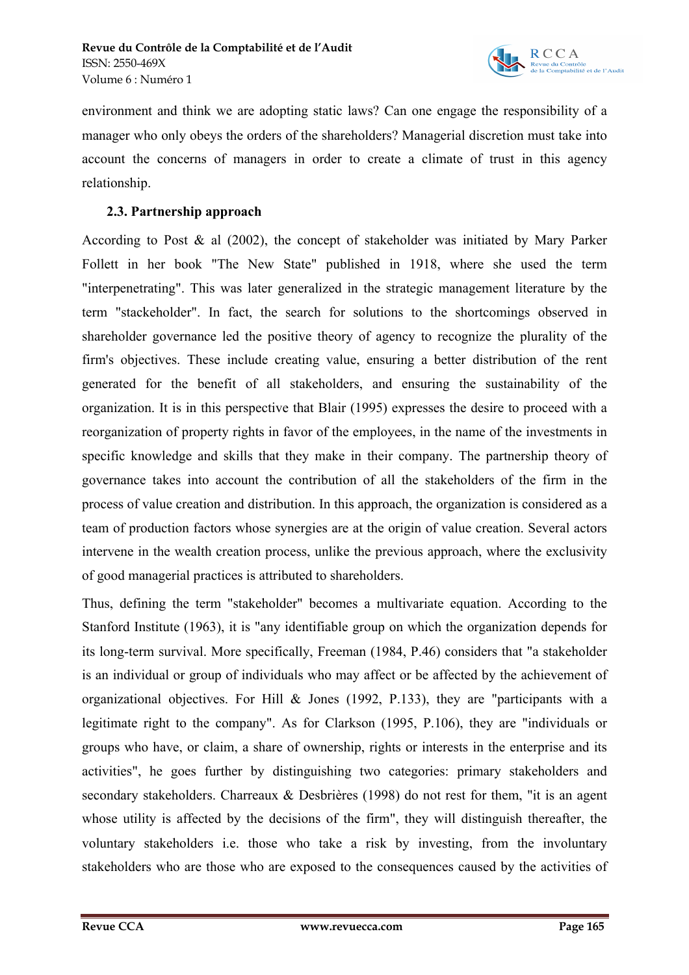

environment and think we are adopting static laws? Can one engage the responsibility of a manager who only obeys the orders of the shareholders? Managerial discretion must take into account the concerns of managers in order to create a climate of trust in this agency relationship.

### **2.3. Partnership approach**

According to Post & al (2002), the concept of stakeholder was initiated by Mary Parker Follett in her book "The New State" published in 1918, where she used the term "interpenetrating". This was later generalized in the strategic management literature by the term "stackeholder". In fact, the search for solutions to the shortcomings observed in shareholder governance led the positive theory of agency to recognize the plurality of the firm's objectives. These include creating value, ensuring a better distribution of the rent generated for the benefit of all stakeholders, and ensuring the sustainability of the organization. It is in this perspective that Blair (1995) expresses the desire to proceed with a reorganization of property rights in favor of the employees, in the name of the investments in specific knowledge and skills that they make in their company. The partnership theory of governance takes into account the contribution of all the stakeholders of the firm in the process of value creation and distribution. In this approach, the organization is considered as a team of production factors whose synergies are at the origin of value creation. Several actors intervene in the wealth creation process, unlike the previous approach, where the exclusivity of good managerial practices is attributed to shareholders.

Thus, defining the term "stakeholder" becomes a multivariate equation. According to the Stanford Institute (1963), it is "any identifiable group on which the organization depends for its long-term survival. More specifically, Freeman (1984, P.46) considers that "a stakeholder is an individual or group of individuals who may affect or be affected by the achievement of organizational objectives. For Hill & Jones (1992, P.133), they are "participants with a legitimate right to the company". As for Clarkson (1995, P.106), they are "individuals or groups who have, or claim, a share of ownership, rights or interests in the enterprise and its activities", he goes further by distinguishing two categories: primary stakeholders and secondary stakeholders. Charreaux & Desbrières (1998) do not rest for them, "it is an agent whose utility is affected by the decisions of the firm", they will distinguish thereafter, the voluntary stakeholders i.e. those who take a risk by investing, from the involuntary stakeholders who are those who are exposed to the consequences caused by the activities of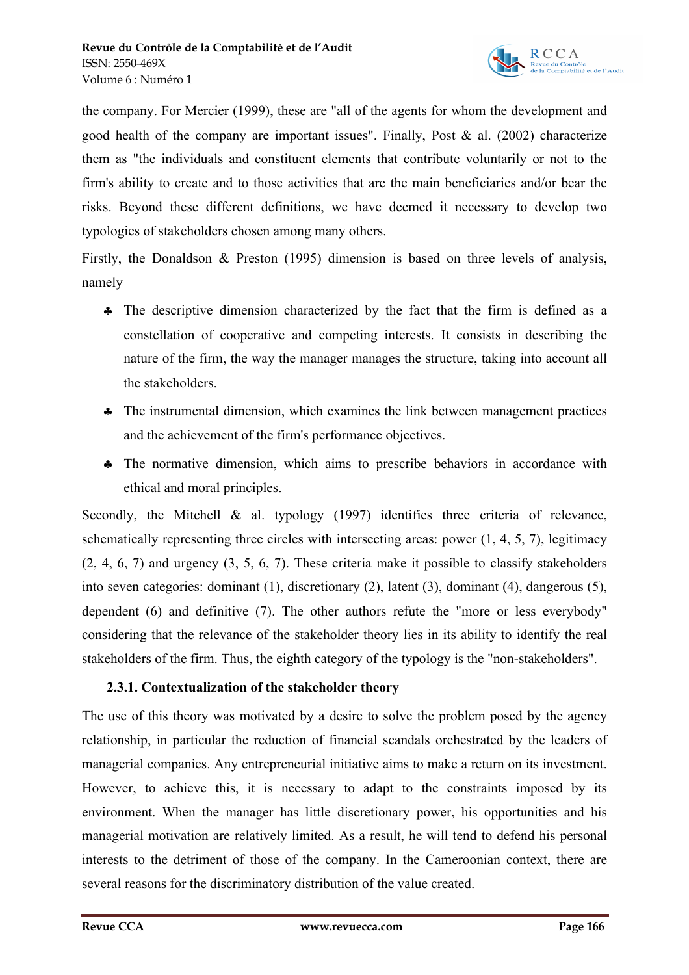

the company. For Mercier (1999), these are "all of the agents for whom the development and good health of the company are important issues". Finally, Post & al. (2002) characterize them as "the individuals and constituent elements that contribute voluntarily or not to the firm's ability to create and to those activities that are the main beneficiaries and/or bear the risks. Beyond these different definitions, we have deemed it necessary to develop two typologies of stakeholders chosen among many others.

Firstly, the Donaldson & Preston (1995) dimension is based on three levels of analysis, namely

- § The descriptive dimension characterized by the fact that the firm is defined as a constellation of cooperative and competing interests. It consists in describing the nature of the firm, the way the manager manages the structure, taking into account all the stakeholders.
- § The instrumental dimension, which examines the link between management practices and the achievement of the firm's performance objectives.
- § The normative dimension, which aims to prescribe behaviors in accordance with ethical and moral principles.

Secondly, the Mitchell & al. typology (1997) identifies three criteria of relevance, schematically representing three circles with intersecting areas: power (1, 4, 5, 7), legitimacy (2, 4, 6, 7) and urgency (3, 5, 6, 7). These criteria make it possible to classify stakeholders into seven categories: dominant (1), discretionary (2), latent (3), dominant (4), dangerous (5), dependent (6) and definitive (7). The other authors refute the "more or less everybody" considering that the relevance of the stakeholder theory lies in its ability to identify the real stakeholders of the firm. Thus, the eighth category of the typology is the "non-stakeholders".

# **2.3.1. Contextualization of the stakeholder theory**

The use of this theory was motivated by a desire to solve the problem posed by the agency relationship, in particular the reduction of financial scandals orchestrated by the leaders of managerial companies. Any entrepreneurial initiative aims to make a return on its investment. However, to achieve this, it is necessary to adapt to the constraints imposed by its environment. When the manager has little discretionary power, his opportunities and his managerial motivation are relatively limited. As a result, he will tend to defend his personal interests to the detriment of those of the company. In the Cameroonian context, there are several reasons for the discriminatory distribution of the value created.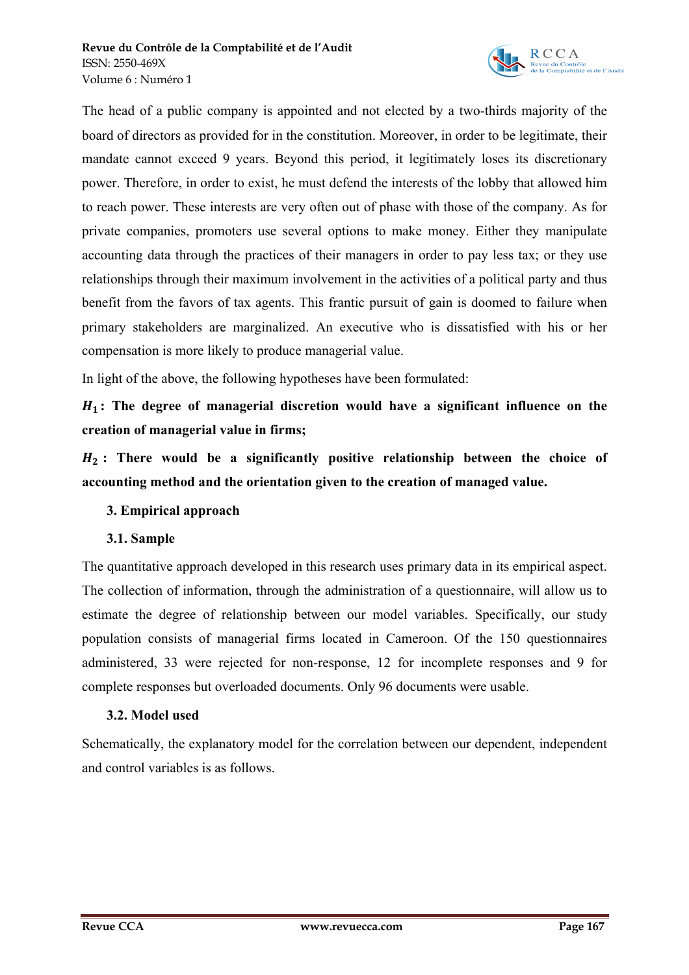

The head of a public company is appointed and not elected by a two-thirds majority of the board of directors as provided for in the constitution. Moreover, in order to be legitimate, their mandate cannot exceed 9 years. Beyond this period, it legitimately loses its discretionary power. Therefore, in order to exist, he must defend the interests of the lobby that allowed him to reach power. These interests are very often out of phase with those of the company. As for private companies, promoters use several options to make money. Either they manipulate accounting data through the practices of their managers in order to pay less tax; or they use relationships through their maximum involvement in the activities of a political party and thus benefit from the favors of tax agents. This frantic pursuit of gain is doomed to failure when primary stakeholders are marginalized. An executive who is dissatisfied with his or her compensation is more likely to produce managerial value.

In light of the above, the following hypotheses have been formulated:

 **: The degree of managerial discretion would have a significant influence on the creation of managerial value in firms;** 

 **: There would be a significantly positive relationship between the choice of accounting method and the orientation given to the creation of managed value.**

# **3. Empirical approach**

# **3.1. Sample**

The quantitative approach developed in this research uses primary data in its empirical aspect. The collection of information, through the administration of a questionnaire, will allow us to estimate the degree of relationship between our model variables. Specifically, our study population consists of managerial firms located in Cameroon. Of the 150 questionnaires administered, 33 were rejected for non-response, 12 for incomplete responses and 9 for complete responses but overloaded documents. Only 96 documents were usable.

# **3.2. Model used**

Schematically, the explanatory model for the correlation between our dependent, independent and control variables is as follows.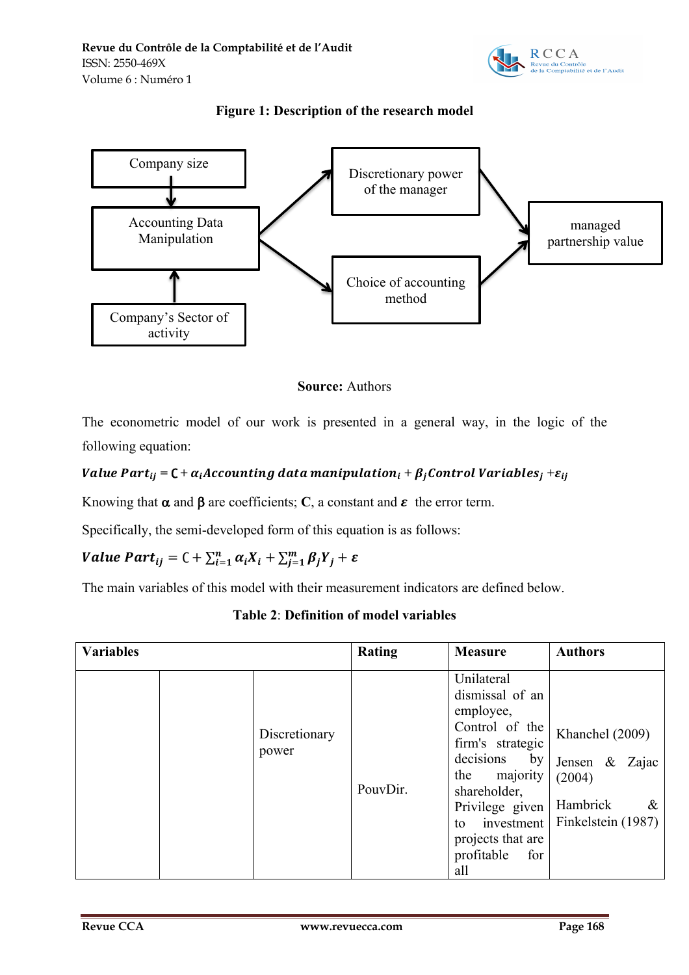

# **Figure 1: Description of the research model**





The econometric model of our work is presented in a general way, in the logic of the following equation:

# *Value Part*<sub>ij</sub> =  $C + \alpha_i$ *Accounting data manipulation*<sub>i</sub> +  $\beta_i$ *Control Variables*<sub>j</sub> +  $\varepsilon_{ij}$

Knowing that  $\alpha$  and  $\beta$  are coefficients; C, a constant and  $\varepsilon$  the error term.

Specifically, the semi-developed form of this equation is as follows:

# Value Part $_{ij} = C + \sum_{i=1}^{n} \alpha_i X_i + \sum_{j=1}^{m} \beta_j Y_j + \varepsilon$

The main variables of this model with their measurement indicators are defined below.

# **Table 2**: **Definition of model variables**

| <b>Variables</b> |                        | <b>Rating</b> | <b>Measure</b>                                                                                                                                                                                                                 | <b>Authors</b>                                                                        |
|------------------|------------------------|---------------|--------------------------------------------------------------------------------------------------------------------------------------------------------------------------------------------------------------------------------|---------------------------------------------------------------------------------------|
|                  | Discretionary<br>power | PouvDir.      | Unilateral<br>dismissal of an<br>employee,<br>Control of the<br>firm's strategic<br>decisions<br>by<br>majority<br>the<br>shareholder,<br>Privilege given<br>investment<br>to<br>projects that are<br>profitable<br>for<br>all | Khanchel (2009)<br>Jensen & Zajac<br>(2004)<br>Hambrick<br>$\&$<br>Finkelstein (1987) |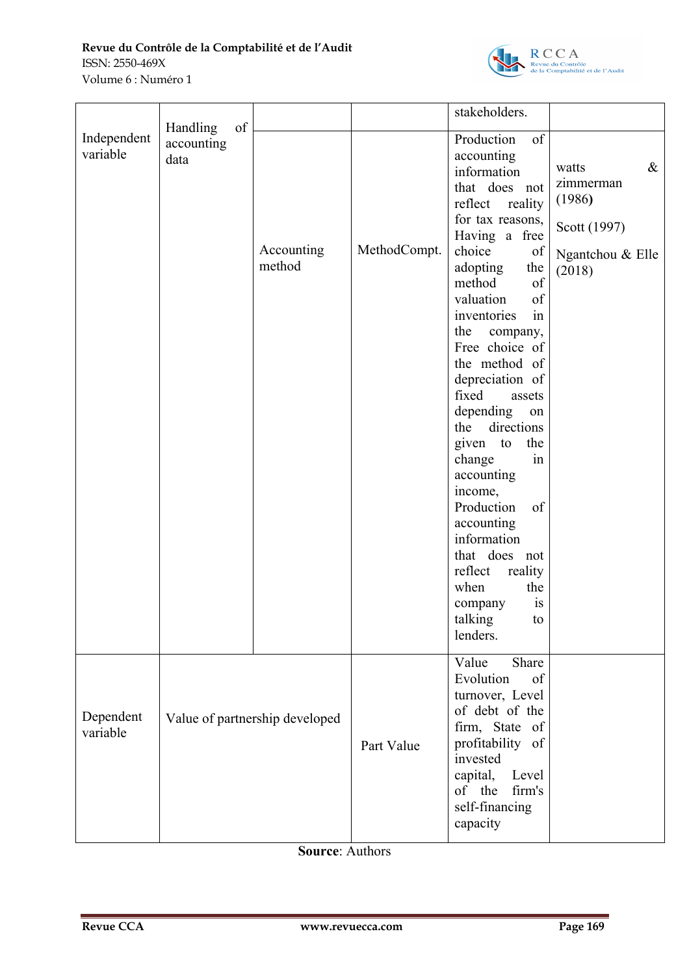

|                         | of<br>Handling     |                                |              | stakeholders.                                                                                                                                                                                                                                                                                                                                                                                                                                                                                                                                                                             |                                                                                    |
|-------------------------|--------------------|--------------------------------|--------------|-------------------------------------------------------------------------------------------------------------------------------------------------------------------------------------------------------------------------------------------------------------------------------------------------------------------------------------------------------------------------------------------------------------------------------------------------------------------------------------------------------------------------------------------------------------------------------------------|------------------------------------------------------------------------------------|
| Independent<br>variable | accounting<br>data | Accounting<br>method           | MethodCompt. | Production<br>of<br>accounting<br>information<br>that does not<br>reflect<br>reality<br>for tax reasons,<br>Having a free<br>choice<br>of<br>adopting<br>the<br>of<br>method<br>$\sigma f$<br>valuation<br>in<br>inventories<br>the<br>company,<br>Free choice of<br>the method of<br>depreciation of<br>fixed<br>assets<br>depending<br>on<br>directions<br>the<br>given to<br>the<br>in<br>change<br>accounting<br>income,<br>of<br>Production<br>accounting<br>information<br>that does not<br>reflect<br>reality<br>when<br>the<br>is<br>company<br>talking<br>${\rm to}$<br>lenders. | $\&$<br>watts<br>zimmerman<br>(1986)<br>Scott (1997)<br>Ngantchou & Elle<br>(2018) |
| Dependent<br>variable   |                    | Value of partnership developed | Part Value   | Value<br>Share<br>Evolution<br>of<br>turnover, Level<br>of debt of the<br>firm, State of<br>profitability of<br>invested<br>capital,<br>Level<br>of the firm's<br>self-financing<br>capacity                                                                                                                                                                                                                                                                                                                                                                                              |                                                                                    |

**Source**: Authors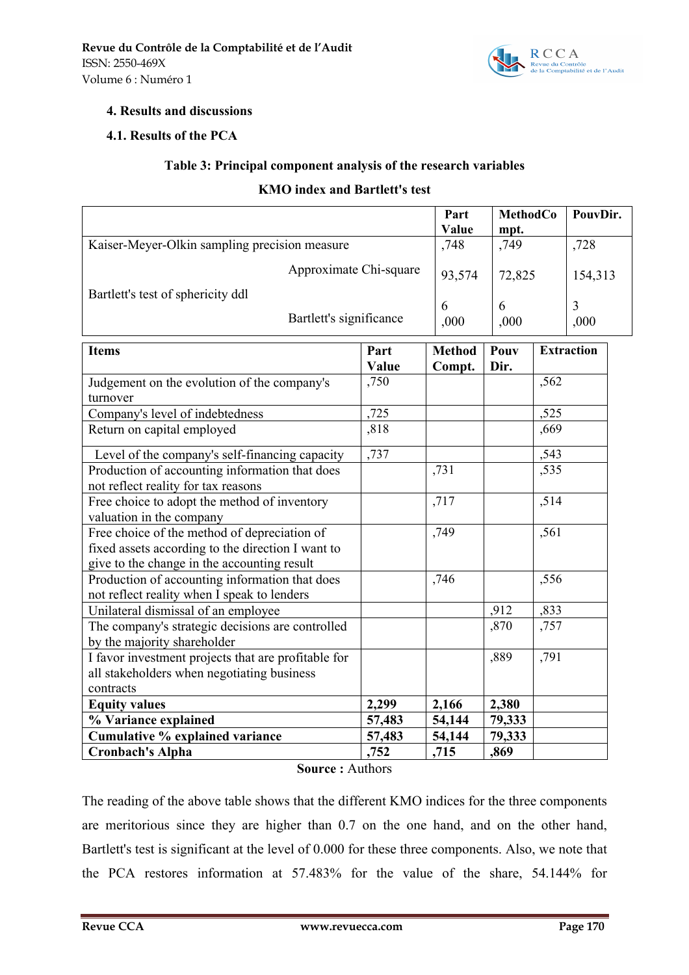

### **4. Results and discussions**

### **4.1. Results of the PCA**

### **Table 3: Principal component analysis of the research variables**

#### **KMO index and Bartlett's test**

|                                                                                                   |               | Part                    | <b>MethodCo</b> |                   | PouvDir.          |
|---------------------------------------------------------------------------------------------------|---------------|-------------------------|-----------------|-------------------|-------------------|
|                                                                                                   |               | Value                   | mpt.            |                   |                   |
| Kaiser-Meyer-Olkin sampling precision measure                                                     | ,748          | ,749                    |                 | ,728              |                   |
| Approximate Chi-square                                                                            |               | 93,574                  |                 | 72,825<br>154,313 |                   |
| Bartlett's test of sphericity ddl                                                                 |               | 6                       | 6               |                   | 3                 |
| Bartlett's significance                                                                           |               | ,000                    | ,000            |                   | ,000              |
| <b>Items</b>                                                                                      | Part<br>Value | <b>Method</b><br>Compt. | Pouv<br>Dir.    |                   | <b>Extraction</b> |
| Judgement on the evolution of the company's<br>turnover                                           | ,750          |                         |                 | ,562              |                   |
| Company's level of indebtedness                                                                   | ,725          |                         |                 | ,525              |                   |
| Return on capital employed                                                                        | ,818          |                         |                 | ,669              |                   |
| Level of the company's self-financing capacity                                                    | ,737          |                         |                 | ,543              |                   |
| Production of accounting information that does                                                    |               | ,731                    |                 | ,535              |                   |
| not reflect reality for tax reasons                                                               |               |                         |                 |                   |                   |
| Free choice to adopt the method of inventory                                                      |               | ,717                    |                 | ,514              |                   |
| valuation in the company                                                                          |               |                         |                 |                   |                   |
| Free choice of the method of depreciation of<br>fixed assets according to the direction I want to |               | ,749                    |                 | ,561              |                   |
| give to the change in the accounting result                                                       |               |                         |                 |                   |                   |
| Production of accounting information that does<br>not reflect reality when I speak to lenders     |               | ,746                    |                 | ,556              |                   |
| Unilateral dismissal of an employee                                                               |               |                         | ,912            | ,833              |                   |
| The company's strategic decisions are controlled<br>by the majority shareholder                   |               |                         | ,870            | ,757              |                   |
| I favor investment projects that are profitable for                                               |               |                         | ,889            | ,791              |                   |
| all stakeholders when negotiating business                                                        |               |                         |                 |                   |                   |
| contracts                                                                                         |               |                         |                 |                   |                   |
| <b>Equity values</b>                                                                              | 2,299         | 2,166                   | 2,380           |                   |                   |
| % Variance explained                                                                              | 57,483        | 54,144                  | 79,333          |                   |                   |
| Cumulative % explained variance                                                                   | 57,483        | 54,144                  | 79,333          |                   |                   |
| <b>Cronbach's Alpha</b>                                                                           | ,752          | ,715                    | ,869            |                   |                   |

#### **Source :** Authors

The reading of the above table shows that the different KMO indices for the three components are meritorious since they are higher than 0.7 on the one hand, and on the other hand, Bartlett's test is significant at the level of 0.000 for these three components. Also, we note that the PCA restores information at 57.483% for the value of the share, 54.144% for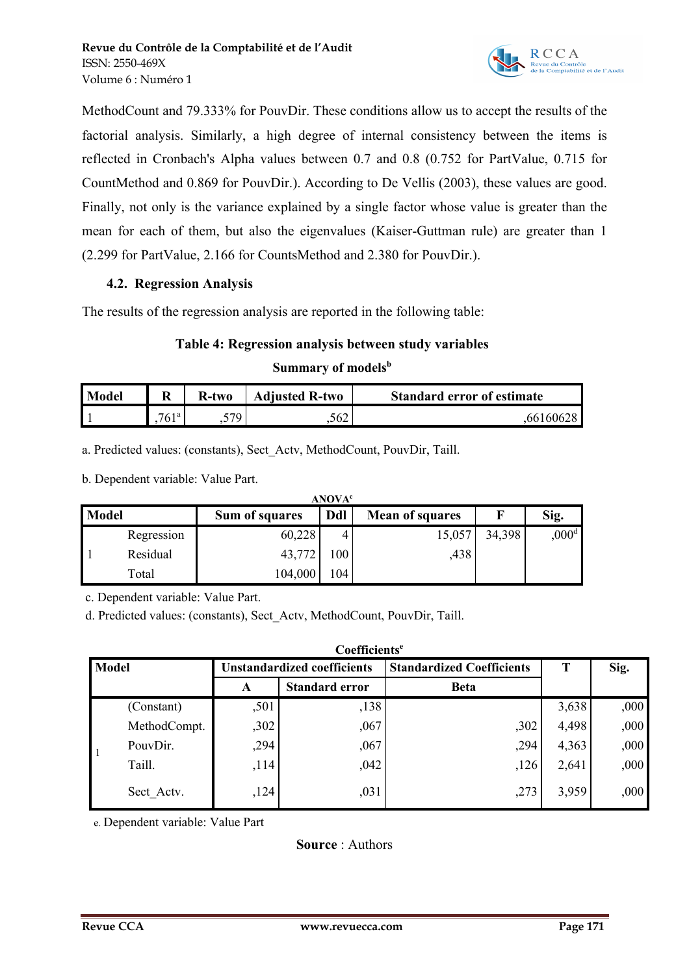

MethodCount and 79.333% for PouvDir. These conditions allow us to accept the results of the factorial analysis. Similarly, a high degree of internal consistency between the items is reflected in Cronbach's Alpha values between 0.7 and 0.8 (0.752 for PartValue, 0.715 for CountMethod and 0.869 for PouvDir.). According to De Vellis (2003), these values are good. Finally, not only is the variance explained by a single factor whose value is greater than the mean for each of them, but also the eigenvalues (Kaiser-Guttman rule) are greater than 1 (2.299 for PartValue, 2.166 for CountsMethod and 2.380 for PouvDir.).

### **4.2. Regression Analysis**

The results of the regression analysis are reported in the following table:

### **Table 4: Regression analysis between study variables**

### **Summary of models b**

| Model |                       | R-two | <b>Adjusted R-two</b> | <b>Standard error of estimate</b> |
|-------|-----------------------|-------|-----------------------|-----------------------------------|
|       | 761a<br>$' \cup \bot$ | 570   | .562                  | 66160628                          |

a. Predicted values: (constants), Sect\_Actv, MethodCount, PouvDir, Taill.

b. Dependent variable: Value Part.

|              | <b>ANOVA<sup>c</sup></b> |                                                 |     |        |        |                |  |  |  |  |
|--------------|--------------------------|-------------------------------------------------|-----|--------|--------|----------------|--|--|--|--|
| <b>Model</b> |                          | Ddl<br>Sum of squares<br><b>Mean of squares</b> |     |        | Sig.   |                |  |  |  |  |
|              | Regression               | 60,228                                          |     | 15,057 | 34,398 | $,000^{\rm d}$ |  |  |  |  |
|              | Residual                 | 43,772                                          | 100 | ,438   |        |                |  |  |  |  |
|              | Total                    | 104,000                                         | 104 |        |        |                |  |  |  |  |

c. Dependent variable: Value Part.

d. Predicted values: (constants), Sect\_Actv, MethodCount, PouvDir, Taill.

|              | Coefficients <sup>e</sup> |                             |                       |                                  |       |      |  |  |  |
|--------------|---------------------------|-----------------------------|-----------------------|----------------------------------|-------|------|--|--|--|
| <b>Model</b> |                           | Unstandardized coefficients |                       | <b>Standardized Coefficients</b> | T     | Sig. |  |  |  |
|              |                           | A                           | <b>Standard error</b> | <b>Beta</b>                      |       |      |  |  |  |
|              | (Constant)                | ,501                        | ,138                  |                                  | 3,638 | ,000 |  |  |  |
|              | MethodCompt.              | ,302                        | ,067                  | ,302                             | 4,498 | ,000 |  |  |  |
|              | PouvDir.                  | ,294                        | ,067                  | ,294                             | 4,363 | ,000 |  |  |  |
|              | Taill.                    | ,114                        | ,042                  | ,126                             | 2,641 | ,000 |  |  |  |
|              | Sect Actv.                | ,124                        | ,031                  | ,273                             | 3,959 | ,000 |  |  |  |

e. Dependent variable: Value Part

**Source** : Authors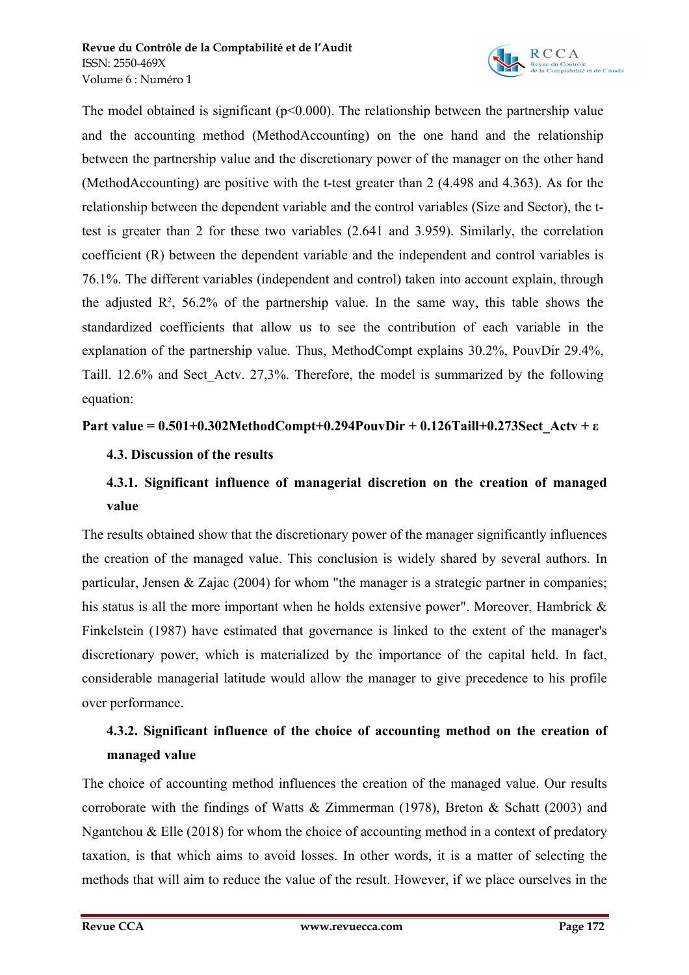

The model obtained is significant ( $p<0.000$ ). The relationship between the partnership value and the accounting method (MethodAccounting) on the one hand and the relationship between the partnership value and the discretionary power of the manager on the other hand (MethodAccounting) are positive with the t-test greater than 2 (4.498 and 4.363). As for the relationship between the dependent variable and the control variables (Size and Sector), the ttest is greater than 2 for these two variables (2.641 and 3.959). Similarly, the correlation coefficient (R) between the dependent variable and the independent and control variables is 76.1%. The different variables (independent and control) taken into account explain, through the adjusted  $\mathbb{R}^2$ , 56.2% of the partnership value. In the same way, this table shows the standardized coefficients that allow us to see the contribution of each variable in the explanation of the partnership value. Thus, MethodCompt explains 30.2%, PouvDir 29.4%, Taill. 12.6% and Sect\_Actv. 27,3%. Therefore, the model is summarized by the following equation:

### **Part value = 0.501+0.302MethodCompt+0.294PouvDir + 0.126Taill+0.273Sect\_Actv + ε**

# **4.3. Discussion of the results**

# **4.3.1. Significant influence of managerial discretion on the creation of managed value**

The results obtained show that the discretionary power of the manager significantly influences the creation of the managed value. This conclusion is widely shared by several authors. In particular, Jensen & Zajac (2004) for whom "the manager is a strategic partner in companies; his status is all the more important when he holds extensive power". Moreover, Hambrick & Finkelstein (1987) have estimated that governance is linked to the extent of the manager's discretionary power, which is materialized by the importance of the capital held. In fact, considerable managerial latitude would allow the manager to give precedence to his profile over performance.

# **4.3.2. Significant influence of the choice of accounting method on the creation of managed value**

The choice of accounting method influences the creation of the managed value. Our results corroborate with the findings of Watts & Zimmerman (1978), Breton & Schatt (2003) and Ngantchou & Elle (2018) for whom the choice of accounting method in a context of predatory taxation, is that which aims to avoid losses. In other words, it is a matter of selecting the methods that will aim to reduce the value of the result. However, if we place ourselves in the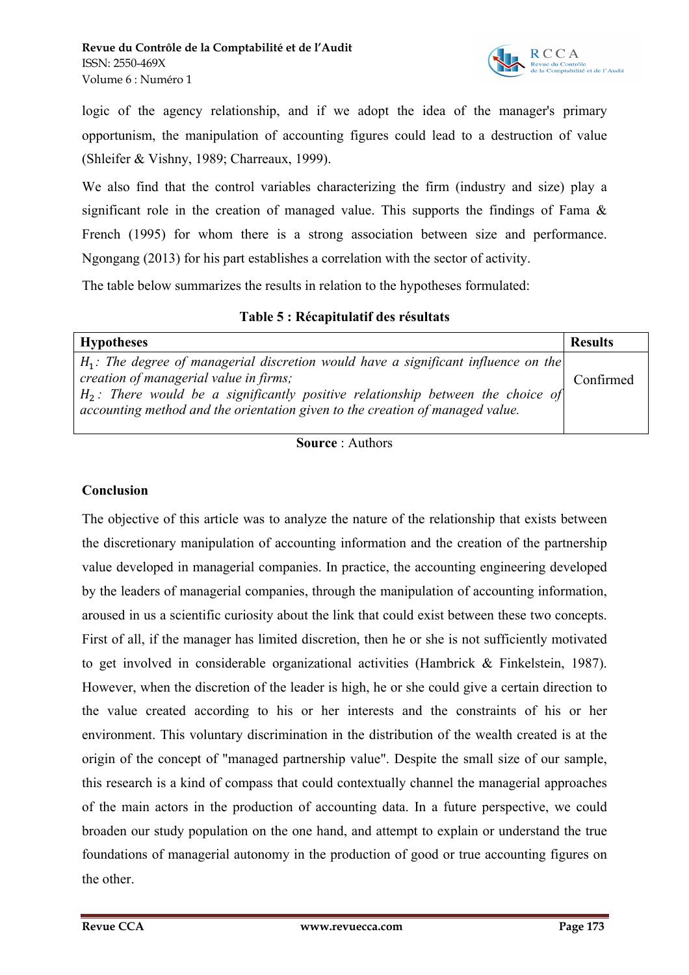

logic of the agency relationship, and if we adopt the idea of the manager's primary opportunism, the manipulation of accounting figures could lead to a destruction of value (Shleifer & Vishny, 1989; Charreaux, 1999).

We also find that the control variables characterizing the firm (industry and size) play a significant role in the creation of managed value. This supports the findings of Fama  $\&$ French (1995) for whom there is a strong association between size and performance. Ngongang (2013) for his part establishes a correlation with the sector of activity.

The table below summarizes the results in relation to the hypotheses formulated:

| <b>Hypotheses</b>                                                                                                                                                   | <b>Results</b> |  |
|---------------------------------------------------------------------------------------------------------------------------------------------------------------------|----------------|--|
| $H_1$ : The degree of managerial discretion would have a significant influence on the                                                                               |                |  |
| creation of managerial value in firms;                                                                                                                              |                |  |
| $H_2$ : There would be a significantly positive relationship between the choice of<br>accounting method and the orientation given to the creation of managed value. |                |  |

**Source** : Authors

### **Conclusion**

The objective of this article was to analyze the nature of the relationship that exists between the discretionary manipulation of accounting information and the creation of the partnership value developed in managerial companies. In practice, the accounting engineering developed by the leaders of managerial companies, through the manipulation of accounting information, aroused in us a scientific curiosity about the link that could exist between these two concepts. First of all, if the manager has limited discretion, then he or she is not sufficiently motivated to get involved in considerable organizational activities (Hambrick & Finkelstein, 1987). However, when the discretion of the leader is high, he or she could give a certain direction to the value created according to his or her interests and the constraints of his or her environment. This voluntary discrimination in the distribution of the wealth created is at the origin of the concept of "managed partnership value". Despite the small size of our sample, this research is a kind of compass that could contextually channel the managerial approaches of the main actors in the production of accounting data. In a future perspective, we could broaden our study population on the one hand, and attempt to explain or understand the true foundations of managerial autonomy in the production of good or true accounting figures on the other.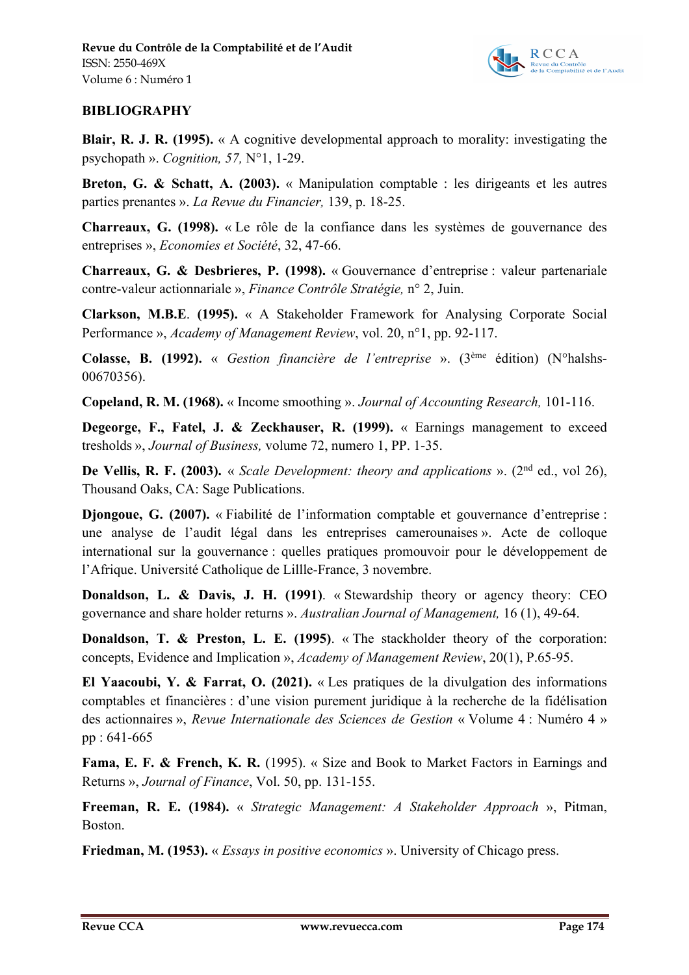

# **BIBLIOGRAPHY**

**Blair, R. J. R. (1995).** « A cognitive developmental approach to morality: investigating the psychopath ». *Cognition, 57,* N°1, 1-29.

**Breton, G. & Schatt, A. (2003).** « Manipulation comptable : les dirigeants et les autres parties prenantes ». *La Revue du Financier,* 139, p. 18-25.

**Charreaux, G. (1998).** « Le rôle de la confiance dans les systèmes de gouvernance des entreprises », *Economies et Société*, 32, 47-66.

**Charreaux, G. & Desbrieres, P. (1998).** « Gouvernance d'entreprise : valeur partenariale contre-valeur actionnariale », *Finance Contrôle Stratégie,* n° 2, Juin.

**Clarkson, M.B.E**. **(1995).** « A Stakeholder Framework for Analysing Corporate Social Performance », *Academy of Management Review*, vol. 20, n°1, pp. 92-117.

**Colasse, B. (1992).** « *Gestion financière de l'entreprise* ». (3ème édition) (N°halshs-00670356).

**Copeland, R. M. (1968).** « Income smoothing ». *Journal of Accounting Research,* 101-116.

**Degeorge, F., Fatel, J. & Zeckhauser, R. (1999).** « Earnings management to exceed tresholds », *Journal of Business,* volume 72, numero 1, PP. 1-35.

**De Vellis, R. F. (2003).** « *Scale Development: theory and applications* ». (2nd ed., vol 26), Thousand Oaks, CA: Sage Publications.

**Djongoue, G. (2007).** « Fiabilité de l'information comptable et gouvernance d'entreprise : une analyse de l'audit légal dans les entreprises camerounaises ». Acte de colloque international sur la gouvernance : quelles pratiques promouvoir pour le développement de l'Afrique. Université Catholique de Lillle-France, 3 novembre.

**Donaldson, L. & Davis, J. H. (1991)**. « Stewardship theory or agency theory: CEO governance and share holder returns ». *Australian Journal of Management,* 16 (1), 49-64.

**Donaldson, T. & Preston, L. E. (1995)**. « The stackholder theory of the corporation: concepts, Evidence and Implication », *Academy of Management Review*, 20(1), P.65-95.

**El Yaacoubi, Y. & Farrat, O. (2021).** « Les pratiques de la divulgation des informations comptables et financières : d'une vision purement juridique à la recherche de la fidélisation des actionnaires », *Revue Internationale des Sciences de Gestion* « Volume 4 : Numéro 4 » pp : 641-665

**Fama, E. F. & French, K. R.** (1995). « Size and Book to Market Factors in Earnings and Returns », *Journal of Finance*, Vol. 50, pp. 131-155.

**Freeman, R. E. (1984).** « *Strategic Management: A Stakeholder Approach* », Pitman, Boston.

**Friedman, M. (1953).** « *Essays in positive economics* ». University of Chicago press.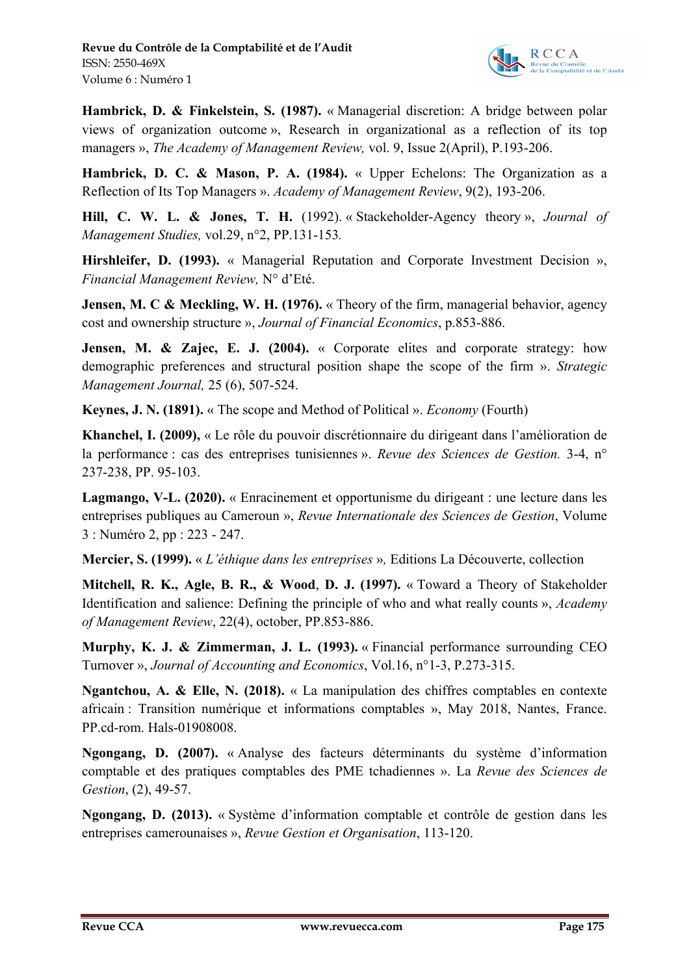

**Hambrick, D. & Finkelstein, S. (1987).** « Managerial discretion: A bridge between polar views of organization outcome », Research in organizational as a reflection of its top managers », *The Academy of Management Review,* vol. 9, Issue 2(April), P.193-206.

**Hambrick, D. C. & Mason, P. A. (1984).** « Upper Echelons: The Organization as a Reflection of Its Top Managers ». *Academy of Management Review*, 9(2), 193-206.

**Hill, C. W. L. & Jones, T. H.** (1992). « Stackeholder-Agency theory », *Journal of Management Studies,* vol.29, n°2, PP.131-153*.*

**Hirshleifer, D. (1993).** « Managerial Reputation and Corporate Investment Decision », *Financial Management Review,* N° d'Eté.

**Jensen, M. C & Meckling, W. H. (1976).** « Theory of the firm, managerial behavior, agency cost and ownership structure », *Journal of Financial Economics*, p.853-886.

**Jensen, M. & Zajec, E. J. (2004).** « Corporate elites and corporate strategy: how demographic preferences and structural position shape the scope of the firm ». *Strategic Management Journal,* 25 (6), 507-524.

**Keynes, J. N. (1891).** « The scope and Method of Political ». *Economy* (Fourth)

**Khanchel, I. (2009),** « Le rôle du pouvoir discrétionnaire du dirigeant dans l'amélioration de la performance : cas des entreprises tunisiennes ». *Revue des Sciences de Gestion.* 3-4, n° 237-238, PP. 95-103.

**Lagmango, V-L. (2020).** « Enracinement et opportunisme du dirigeant : une lecture dans les entreprises publiques au Cameroun », *Revue Internationale des Sciences de Gestion*, Volume 3 : Numéro 2, pp : 223 - 247.

**Mercier, S. (1999).** « *L'éthique dans les entreprises* »*,* Editions La Découverte, collection

**Mitchell, R. K., Agle, B. R., & Wood**, **D. J. (1997).** « Toward a Theory of Stakeholder Identification and salience: Defining the principle of who and what really counts », *Academy of Management Review*, 22(4), october, PP.853-886.

**Murphy, K. J. & Zimmerman, J. L. (1993).** « Financial performance surrounding CEO Turnover », *Journal of Accounting and Economics*, Vol.16, n°1-3, P.273-315.

**Ngantchou, A. & Elle, N. (2018).** « La manipulation des chiffres comptables en contexte africain : Transition numérique et informations comptables », May 2018, Nantes, France. PP.cd-rom. Hals-01908008.

**Ngongang, D. (2007).** « Analyse des facteurs déterminants du système d'information comptable et des pratiques comptables des PME tchadiennes ». La *Revue des Sciences de Gestion*, (2), 49-57.

**Ngongang, D. (2013).** « Système d'information comptable et contrôle de gestion dans les entreprises camerounaises », *Revue Gestion et Organisation*, 113-120.